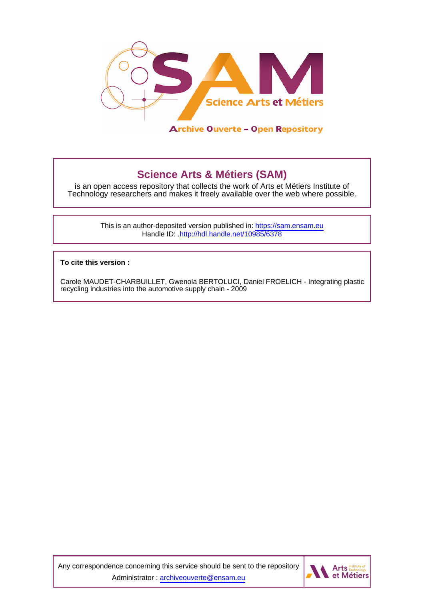

**Science Arts & Métiers (SAM)** is an open access repository that collects the work of Arts et Métiers Institute of

Technology researchers and makes it freely available over the web where possible.

This is an author-deposited version published in:<https://sam.ensam.eu> Handle ID: [.http://hdl.handle.net/10985/6378](http://hdl.handle.net/10985/6378)

**To cite this version :**

Carole MAUDET-CHARBUILLET, Gwenola BERTOLUCI, Daniel FROELICH - Integrating plastic recycling industries into the automotive supply chain - 2009

Any correspondence concerning this service should be sent to the repository Administrator : [archiveouverte@ensam.eu](mailto:archiveouverte@ensam.eu)

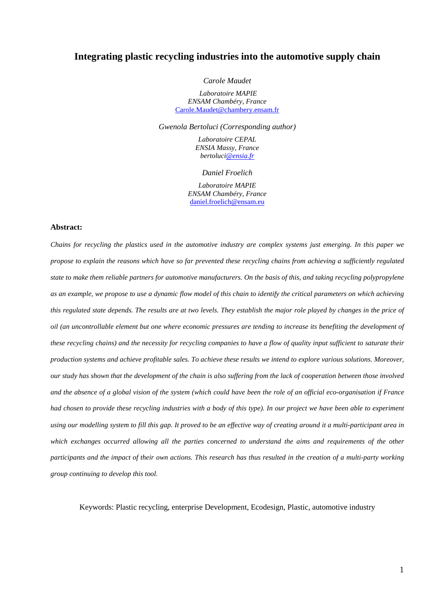# **Integrating plastic recycling industries into the automotive supply chain**

*Carole Maudet* 

 *Laboratoire MAPIE ENSAM Chambéry, France* Carole.Maudet@chambery.ensam.fr

*Gwenola Bertoluci (Corresponding author)* 

*Laboratoire CEPAL ENSIA Massy, France bertoluci@ensia.fr*

*Daniel Froelich* 

*Laboratoire MAPIE ENSAM Chambéry, France* daniel.froelich@ensam.eu

#### **Abstract:**

*Chains for recycling the plastics used in the automotive industry are complex systems just emerging. In this paper we propose to explain the reasons which have so far prevented these recycling chains from achieving a sufficiently regulated state to make them reliable partners for automotive manufacturers. On the basis of this, and taking recycling polypropylene as an example, we propose to use a dynamic flow model of this chain to identify the critical parameters on which achieving this regulated state depends. The results are at two levels. They establish the major role played by changes in the price of oil (an uncontrollable element but one where economic pressures are tending to increase its benefiting the development of these recycling chains) and the necessity for recycling companies to have a flow of quality input sufficient to saturate their production systems and achieve profitable sales. To achieve these results we intend to explore various solutions. Moreover, our study has shown that the development of the chain is also suffering from the lack of cooperation between those involved and the absence of a global vision of the system (which could have been the role of an official eco-organisation if France had chosen to provide these recycling industries with a body of this type). In our project we have been able to experiment using our modelling system to fill this gap. It proved to be an effective way of creating around it a multi-participant area in which exchanges occurred allowing all the parties concerned to understand the aims and requirements of the other participants and the impact of their own actions. This research has thus resulted in the creation of a multi-party working group continuing to develop this tool.* 

Keywords: Plastic recycling, enterprise Development, Ecodesign, Plastic, automotive industry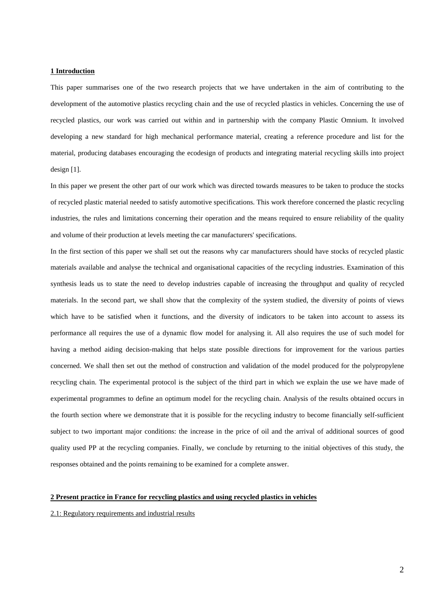#### **1 Introduction**

This paper summarises one of the two research projects that we have undertaken in the aim of contributing to the development of the automotive plastics recycling chain and the use of recycled plastics in vehicles. Concerning the use of recycled plastics, our work was carried out within and in partnership with the company Plastic Omnium. It involved developing a new standard for high mechanical performance material, creating a reference procedure and list for the material, producing databases encouraging the ecodesign of products and integrating material recycling skills into project design [1].

In this paper we present the other part of our work which was directed towards measures to be taken to produce the stocks of recycled plastic material needed to satisfy automotive specifications. This work therefore concerned the plastic recycling industries, the rules and limitations concerning their operation and the means required to ensure reliability of the quality and volume of their production at levels meeting the car manufacturers' specifications.

In the first section of this paper we shall set out the reasons why car manufacturers should have stocks of recycled plastic materials available and analyse the technical and organisational capacities of the recycling industries. Examination of this synthesis leads us to state the need to develop industries capable of increasing the throughput and quality of recycled materials. In the second part, we shall show that the complexity of the system studied, the diversity of points of views which have to be satisfied when it functions, and the diversity of indicators to be taken into account to assess its performance all requires the use of a dynamic flow model for analysing it. All also requires the use of such model for having a method aiding decision-making that helps state possible directions for improvement for the various parties concerned. We shall then set out the method of construction and validation of the model produced for the polypropylene recycling chain. The experimental protocol is the subject of the third part in which we explain the use we have made of experimental programmes to define an optimum model for the recycling chain. Analysis of the results obtained occurs in the fourth section where we demonstrate that it is possible for the recycling industry to become financially self-sufficient subject to two important major conditions: the increase in the price of oil and the arrival of additional sources of good quality used PP at the recycling companies. Finally, we conclude by returning to the initial objectives of this study, the responses obtained and the points remaining to be examined for a complete answer.

# **2 Present practice in France for recycling plastics and using recycled plastics in vehicles**

#### 2.1: Regulatory requirements and industrial results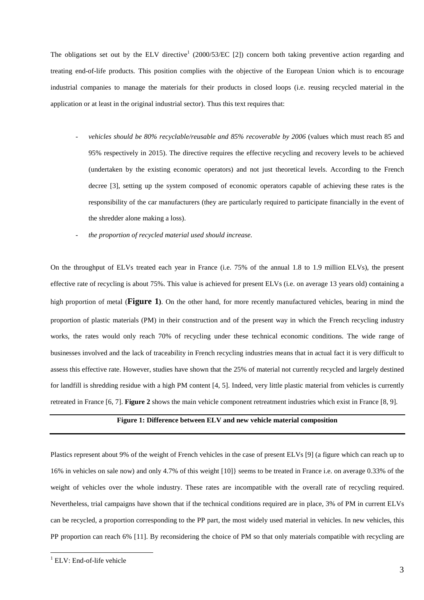The obligations set out by the ELV directive<sup>1</sup> (2000/53/EC [2]) concern both taking preventive action regarding and treating end-of-life products. This position complies with the objective of the European Union which is to encourage industrial companies to manage the materials for their products in closed loops (i.e. reusing recycled material in the application or at least in the original industrial sector). Thus this text requires that:

- vehicles should be 80% recyclable/reusable and 85% recoverable by 2006 (values which must reach 85 and 95% respectively in 2015). The directive requires the effective recycling and recovery levels to be achieved (undertaken by the existing economic operators) and not just theoretical levels. According to the French decree [3], setting up the system composed of economic operators capable of achieving these rates is the responsibility of the car manufacturers (they are particularly required to participate financially in the event of the shredder alone making a loss).
- *the proportion of recycled material used should increase.*

On the throughput of ELVs treated each year in France (i.e. 75% of the annual 1.8 to 1.9 million ELVs), the present effective rate of recycling is about 75%. This value is achieved for present ELVs (i.e. on average 13 years old) containing a high proportion of metal (**Figure 1)**. On the other hand, for more recently manufactured vehicles, bearing in mind the proportion of plastic materials (PM) in their construction and of the present way in which the French recycling industry works, the rates would only reach 70% of recycling under these technical economic conditions. The wide range of businesses involved and the lack of traceability in French recycling industries means that in actual fact it is very difficult to assess this effective rate. However, studies have shown that the 25% of material not currently recycled and largely destined for landfill is shredding residue with a high PM content [4, 5]. Indeed, very little plastic material from vehicles is currently retreated in France [6, 7]. **Figure 2** shows the main vehicle component retreatment industries which exist in France [8, 9].

# **Figure 1: Difference between ELV and new vehicle material composition**

Plastics represent about 9% of the weight of French vehicles in the case of present ELVs [9] (a figure which can reach up to 16% in vehicles on sale now) and only 4.7% of this weight [10]} seems to be treated in France i.e. on average 0.33% of the weight of vehicles over the whole industry. These rates are incompatible with the overall rate of recycling required. Nevertheless, trial campaigns have shown that if the technical conditions required are in place, 3% of PM in current ELVs can be recycled, a proportion corresponding to the PP part, the most widely used material in vehicles. In new vehicles, this PP proportion can reach 6% [11]. By reconsidering the choice of PM so that only materials compatible with recycling are

 1 ELV: End-of-life vehicle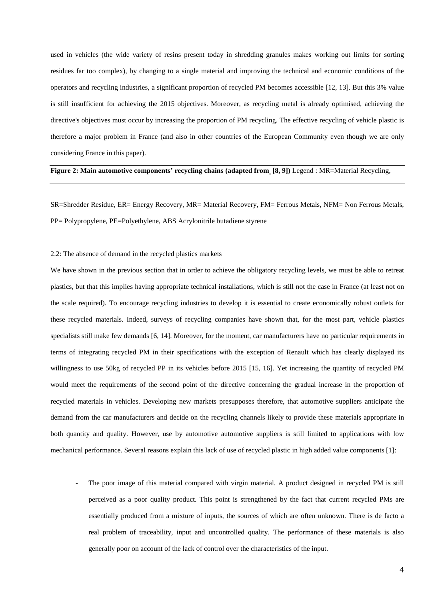used in vehicles (the wide variety of resins present today in shredding granules makes working out limits for sorting residues far too complex), by changing to a single material and improving the technical and economic conditions of the operators and recycling industries, a significant proportion of recycled PM becomes accessible [12, 13]. But this 3% value is still insufficient for achieving the 2015 objectives. Moreover, as recycling metal is already optimised, achieving the directive's objectives must occur by increasing the proportion of PM recycling. The effective recycling of vehicle plastic is therefore a major problem in France (and also in other countries of the European Community even though we are only considering France in this paper).

# **Figure 2: Main automotive components' recycling chains (adapted from [8, 9])** Legend : MR=Material Recycling,

SR=Shredder Residue, ER= Energy Recovery, MR= Material Recovery, FM= Ferrous Metals, NFM= Non Ferrous Metals, PP= Polypropylene, PE=Polyethylene, ABS Acrylonitrile butadiene styrene

#### 2.2: The absence of demand in the recycled plastics markets

We have shown in the previous section that in order to achieve the obligatory recycling levels, we must be able to retreat plastics, but that this implies having appropriate technical installations, which is still not the case in France (at least not on the scale required). To encourage recycling industries to develop it is essential to create economically robust outlets for these recycled materials. Indeed, surveys of recycling companies have shown that, for the most part, vehicle plastics specialists still make few demands [6, 14]. Moreover, for the moment, car manufacturers have no particular requirements in terms of integrating recycled PM in their specifications with the exception of Renault which has clearly displayed its willingness to use 50kg of recycled PP in its vehicles before 2015 [15, 16]. Yet increasing the quantity of recycled PM would meet the requirements of the second point of the directive concerning the gradual increase in the proportion of recycled materials in vehicles. Developing new markets presupposes therefore, that automotive suppliers anticipate the demand from the car manufacturers and decide on the recycling channels likely to provide these materials appropriate in both quantity and quality. However, use by automotive automotive suppliers is still limited to applications with low mechanical performance. Several reasons explain this lack of use of recycled plastic in high added value components [1]:

The poor image of this material compared with virgin material. A product designed in recycled PM is still perceived as a poor quality product. This point is strengthened by the fact that current recycled PMs are essentially produced from a mixture of inputs, the sources of which are often unknown. There is de facto a real problem of traceability, input and uncontrolled quality. The performance of these materials is also generally poor on account of the lack of control over the characteristics of the input.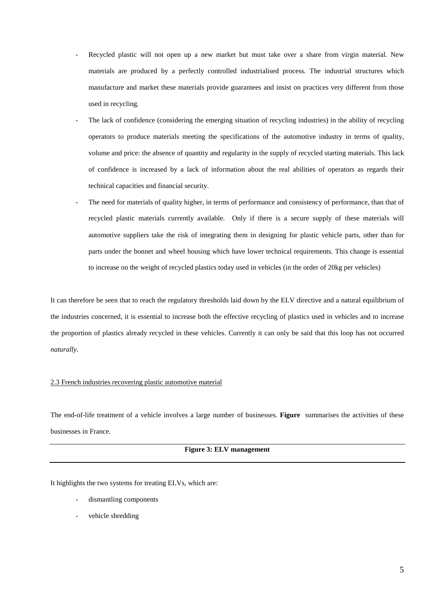- Recycled plastic will not open up a new market but must take over a share from virgin material. New materials are produced by a perfectly controlled industrialised process. The industrial structures which manufacture and market these materials provide guarantees and insist on practices very different from those used in recycling.
- The lack of confidence (considering the emerging situation of recycling industries) in the ability of recycling operators to produce materials meeting the specifications of the automotive industry in terms of quality, volume and price: the absence of quantity and regularity in the supply of recycled starting materials. This lack of confidence is increased by a lack of information about the real abilities of operators as regards their technical capacities and financial security.
- The need for materials of quality higher, in terms of performance and consistency of performance, than that of recycled plastic materials currently available. Only if there is a secure supply of these materials will automotive suppliers take the risk of integrating them in designing for plastic vehicle parts, other than for parts under the bonnet and wheel housing which have lower technical requirements. This change is essential to increase on the weight of recycled plastics today used in vehicles (in the order of 20kg per vehicles)

It can therefore be seen that to reach the regulatory thresholds laid down by the ELV directive and a natural equilibrium of the industries concerned, it is essential to increase both the effective recycling of plastics used in vehicles and to increase the proportion of plastics already recycled in these vehicles. Currently it can only be said that this loop has not occurred *naturally*.

# 2.3 French industries recovering plastic automotive material

The end-of-life treatment of a vehicle involves a large number of businesses. **Figure** summarises the activities of these businesses in France.

# **Figure 3: ELV management**

It highlights the two systems for treating ELVs, which are:

- dismantling components
- vehicle shredding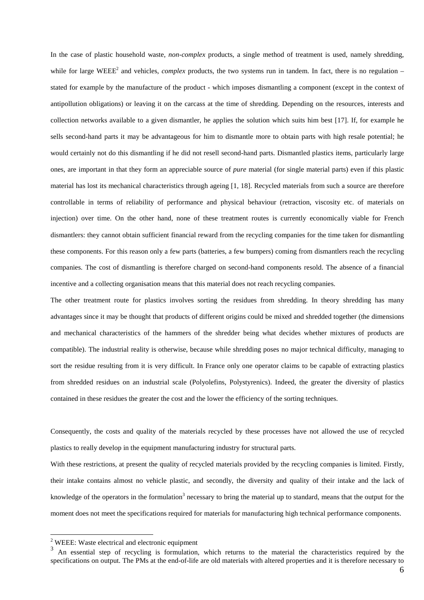In the case of plastic household waste, *non-complex* products, a single method of treatment is used, namely shredding, while for large WEEE<sup>2</sup> and vehicles, *complex* products, the two systems run in tandem. In fact, there is no regulation – stated for example by the manufacture of the product - which imposes dismantling a component (except in the context of antipollution obligations) or leaving it on the carcass at the time of shredding. Depending on the resources, interests and collection networks available to a given dismantler, he applies the solution which suits him best [17]. If, for example he sells second-hand parts it may be advantageous for him to dismantle more to obtain parts with high resale potential; he would certainly not do this dismantling if he did not resell second-hand parts. Dismantled plastics items, particularly large ones, are important in that they form an appreciable source of *pure* material (for single material parts) even if this plastic material has lost its mechanical characteristics through ageing [1, 18]. Recycled materials from such a source are therefore controllable in terms of reliability of performance and physical behaviour (retraction, viscosity etc. of materials on injection) over time. On the other hand, none of these treatment routes is currently economically viable for French dismantlers: they cannot obtain sufficient financial reward from the recycling companies for the time taken for dismantling these components. For this reason only a few parts (batteries, a few bumpers) coming from dismantlers reach the recycling companies. The cost of dismantling is therefore charged on second-hand components resold. The absence of a financial incentive and a collecting organisation means that this material does not reach recycling companies.

The other treatment route for plastics involves sorting the residues from shredding. In theory shredding has many advantages since it may be thought that products of different origins could be mixed and shredded together (the dimensions and mechanical characteristics of the hammers of the shredder being what decides whether mixtures of products are compatible). The industrial reality is otherwise, because while shredding poses no major technical difficulty, managing to sort the residue resulting from it is very difficult. In France only one operator claims to be capable of extracting plastics from shredded residues on an industrial scale (Polyolefins, Polystyrenics). Indeed, the greater the diversity of plastics contained in these residues the greater the cost and the lower the efficiency of the sorting techniques.

Consequently, the costs and quality of the materials recycled by these processes have not allowed the use of recycled plastics to really develop in the equipment manufacturing industry for structural parts.

With these restrictions, at present the quality of recycled materials provided by the recycling companies is limited. Firstly, their intake contains almost no vehicle plastic, and secondly, the diversity and quality of their intake and the lack of knowledge of the operators in the formulation<sup>3</sup> necessary to bring the material up to standard, means that the output for the moment does not meet the specifications required for materials for manufacturing high technical performance components.

<sup>&</sup>lt;sup>2</sup> WEEE: Waste electrical and electronic equipment

<sup>&</sup>lt;sup>3</sup> An essential step of recycling is formulation, which returns to the material the characteristics required by the specifications on output. The PMs at the end-of-life are old materials with altered properties and it is therefore necessary to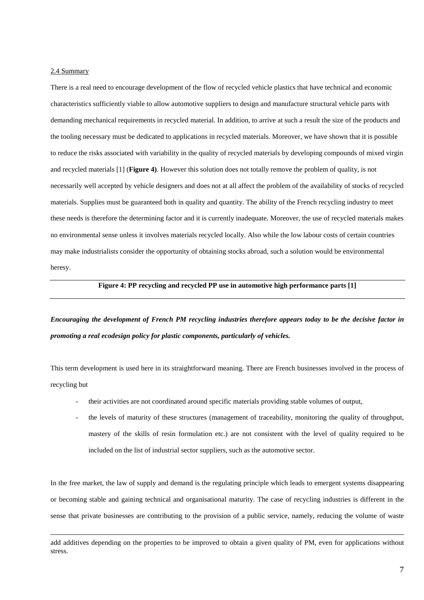# 2.4 Summary

 $\overline{a}$ 

There is a real need to encourage development of the flow of recycled vehicle plastics that have technical and economic characteristics sufficiently viable to allow automotive suppliers to design and manufacture structural vehicle parts with demanding mechanical requirements in recycled material. In addition, to arrive at such a result the size of the products and the tooling necessary must be dedicated to applications in recycled materials. Moreover, we have shown that it is possible to reduce the risks associated with variability in the quality of recycled materials by developing compounds of mixed virgin and recycled materials [1] (**Figure 4)**. However this solution does not totally remove the problem of quality, is not necessarily well accepted by vehicle designers and does not at all affect the problem of the availability of stocks of recycled materials. Supplies must be guaranteed both in quality and quantity. The ability of the French recycling industry to meet these needs is therefore the determining factor and it is currently inadequate. Moreover, the use of recycled materials makes no environmental sense unless it involves materials recycled locally. Also while the low labour costs of certain countries may make industrialists consider the opportunity of obtaining stocks abroad, such a solution would be environmental heresy.

#### **Figure 4: PP recycling and recycled PP use in automotive high performance parts [1]**

*Encouraging the development of French PM recycling industries therefore appears today to be the decisive factor in promoting a real ecodesign policy for plastic components, particularly of vehicles.*

This term development is used here in its straightforward meaning. There are French businesses involved in the process of recycling but

- their activities are not coordinated around specific materials providing stable volumes of output,
- the levels of maturity of these structures (management of traceability, monitoring the quality of throughput, mastery of the skills of resin formulation etc.) are not consistent with the level of quality required to be included on the list of industrial sector suppliers, such as the automotive sector.

In the free market, the law of supply and demand is the regulating principle which leads to emergent systems disappearing or becoming stable and gaining technical and organisational maturity. The case of recycling industries is different in the sense that private businesses are contributing to the provision of a public service, namely, reducing the volume of waste

add additives depending on the properties to be improved to obtain a given quality of PM, even for applications without stress.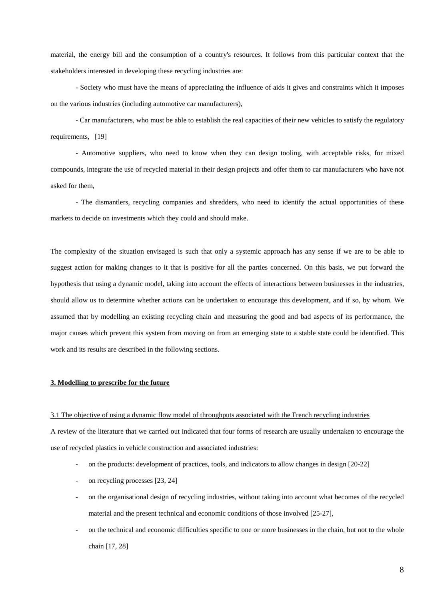material, the energy bill and the consumption of a country's resources. It follows from this particular context that the stakeholders interested in developing these recycling industries are:

 - Society who must have the means of appreciating the influence of aids it gives and constraints which it imposes on the various industries (including automotive car manufacturers),

- Car manufacturers, who must be able to establish the real capacities of their new vehicles to satisfy the regulatory requirements, [19]

- Automotive suppliers, who need to know when they can design tooling, with acceptable risks, for mixed compounds, integrate the use of recycled material in their design projects and offer them to car manufacturers who have not asked for them,

- The dismantlers, recycling companies and shredders, who need to identify the actual opportunities of these markets to decide on investments which they could and should make.

The complexity of the situation envisaged is such that only a systemic approach has any sense if we are to be able to suggest action for making changes to it that is positive for all the parties concerned. On this basis, we put forward the hypothesis that using a dynamic model, taking into account the effects of interactions between businesses in the industries, should allow us to determine whether actions can be undertaken to encourage this development, and if so, by whom. We assumed that by modelling an existing recycling chain and measuring the good and bad aspects of its performance, the major causes which prevent this system from moving on from an emerging state to a stable state could be identified. This work and its results are described in the following sections.

#### **3. Modelling to prescribe for the future**

#### 3.1 The objective of using a dynamic flow model of throughputs associated with the French recycling industries

A review of the literature that we carried out indicated that four forms of research are usually undertaken to encourage the use of recycled plastics in vehicle construction and associated industries:

- on the products: development of practices, tools, and indicators to allow changes in design [20-22]
- on recycling processes [23, 24]
- on the organisational design of recycling industries, without taking into account what becomes of the recycled material and the present technical and economic conditions of those involved [25-27],
- on the technical and economic difficulties specific to one or more businesses in the chain, but not to the whole chain [17, 28]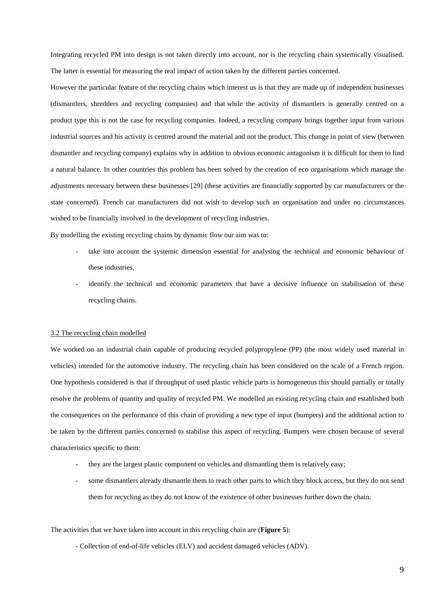Integrating recycled PM into design is not taken directly into account, nor is the recycling chain systemically visualised. The latter is essential for measuring the real impact of action taken by the different parties concerned.

However the particular feature of the recycling chains which interest us is that they are made up of independent businesses (dismantlers, shredders and recycling companies) and that while the activity of dismantlers is generally centred on a product type this is not the case for recycling companies. Indeed, a recycling company brings together input from various industrial sources and his activity is centred around the material and not the product. This change in point of view (between dismantler and recycling company) explains why in addition to obvious economic antagonism it is difficult for them to find a natural balance. In other countries this problem has been solved by the creation of eco organisations which manage the adjustments necessary between these businesses [29] (these activities are financially supported by car manufacturers or the state concerned). French car manufacturers did not wish to develop such an organisation and under no circumstances wished to be financially involved in the development of recycling industries.

By modelling the existing recycling chains by dynamic flow our aim was to:

- take into account the systemic dimension essential for analysing the technical and economic behaviour of these industries,
- identify the technical and economic parameters that have a decisive influence on stabilisation of these recycling chains.

#### 3.2 The recycling chain modelled

We worked on an industrial chain capable of producing recycled polypropylene (PP) (the most widely used material in vehicles) intended for the automotive industry. The recycling chain has been considered on the scale of a French region. One hypothesis considered is that if throughput of used plastic vehicle parts is homogeneous this should partially or totally resolve the problems of quantity and quality of recycled PM. We modelled an existing recycling chain and established both the consequences on the performance of this chain of providing a new type of input (bumpers) and the additional action to be taken by the different parties concerned to stabilise this aspect of recycling. Bumpers were chosen because of several characteristics specific to them:

- they are the largest plastic component on vehicles and dismantling them is relatively easy;
- some dismantlers already dismantle them to reach other parts to which they block access, but they do not send them for recycling as they do not know of the existence of other businesses further down the chain.

#### The activities that we have taken into account in this recycling chain are (**Figure 5**):

- Collection of end-of-life vehicles (ELV) and accident damaged vehicles (ADV).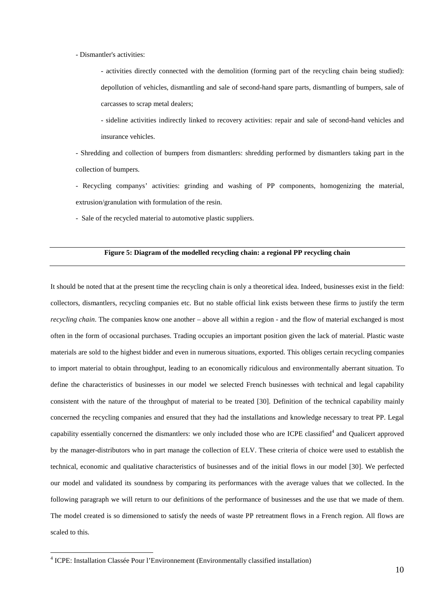- Dismantler's activities:

- activities directly connected with the demolition (forming part of the recycling chain being studied): depollution of vehicles, dismantling and sale of second-hand spare parts, dismantling of bumpers, sale of carcasses to scrap metal dealers;

- sideline activities indirectly linked to recovery activities: repair and sale of second-hand vehicles and insurance vehicles.

- Shredding and collection of bumpers from dismantlers: shredding performed by dismantlers taking part in the collection of bumpers.

- Recycling companys' activities: grinding and washing of PP components, homogenizing the material, extrusion/granulation with formulation of the resin.

- Sale of the recycled material to automotive plastic suppliers.

# **Figure 5: Diagram of the modelled recycling chain: a regional PP recycling chain**

It should be noted that at the present time the recycling chain is only a theoretical idea. Indeed, businesses exist in the field: collectors, dismantlers, recycling companies etc. But no stable official link exists between these firms to justify the term *recycling chain*. The companies know one another – above all within a region - and the flow of material exchanged is most often in the form of occasional purchases. Trading occupies an important position given the lack of material. Plastic waste materials are sold to the highest bidder and even in numerous situations, exported. This obliges certain recycling companies to import material to obtain throughput, leading to an economically ridiculous and environmentally aberrant situation. To define the characteristics of businesses in our model we selected French businesses with technical and legal capability consistent with the nature of the throughput of material to be treated [30]. Definition of the technical capability mainly concerned the recycling companies and ensured that they had the installations and knowledge necessary to treat PP. Legal capability essentially concerned the dismantlers: we only included those who are ICPE classified<sup>4</sup> and Qualicert approved by the manager-distributors who in part manage the collection of ELV. These criteria of choice were used to establish the technical, economic and qualitative characteristics of businesses and of the initial flows in our model [30]. We perfected our model and validated its soundness by comparing its performances with the average values that we collected. In the following paragraph we will return to our definitions of the performance of businesses and the use that we made of them. The model created is so dimensioned to satisfy the needs of waste PP retreatment flows in a French region. All flows are scaled to this.

 4 ICPE: Installation Classée Pour l'Environnement (Environmentally classified installation)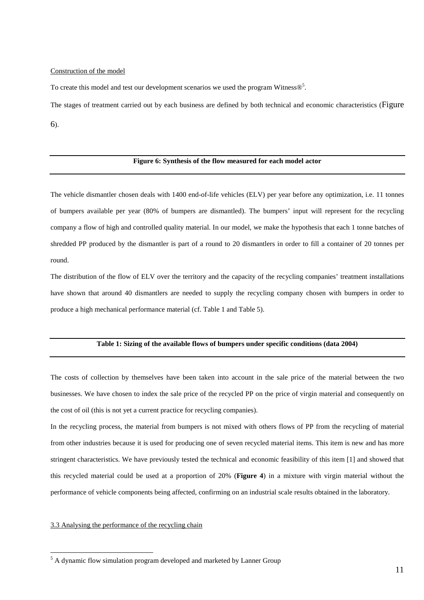#### Construction of the model

To create this model and test our development scenarios we used the program Witness $\mathcal{D}^5$ .

The stages of treatment carried out by each business are defined by both technical and economic characteristics (Figure

6).

#### **Figure 6: Synthesis of the flow measured for each model actor**

The vehicle dismantler chosen deals with 1400 end-of-life vehicles (ELV) per year before any optimization, i.e. 11 tonnes of bumpers available per year (80% of bumpers are dismantled). The bumpers' input will represent for the recycling company a flow of high and controlled quality material. In our model, we make the hypothesis that each 1 tonne batches of shredded PP produced by the dismantler is part of a round to 20 dismantlers in order to fill a container of 20 tonnes per round.

The distribution of the flow of ELV over the territory and the capacity of the recycling companies' treatment installations have shown that around 40 dismantlers are needed to supply the recycling company chosen with bumpers in order to produce a high mechanical performance material (cf. Table 1 and Table 5).

# **Table 1: Sizing of the available flows of bumpers under specific conditions (data 2004)**

The costs of collection by themselves have been taken into account in the sale price of the material between the two businesses. We have chosen to index the sale price of the recycled PP on the price of virgin material and consequently on the cost of oil (this is not yet a current practice for recycling companies).

In the recycling process, the material from bumpers is not mixed with others flows of PP from the recycling of material from other industries because it is used for producing one of seven recycled material items. This item is new and has more stringent characteristics. We have previously tested the technical and economic feasibility of this item [1] and showed that this recycled material could be used at a proportion of 20% (**Figure 4**) in a mixture with virgin material without the performance of vehicle components being affected, confirming on an industrial scale results obtained in the laboratory.

#### 3.3 Analysing the performance of the recycling chain

 $\overline{a}$ 

<sup>&</sup>lt;sup>5</sup> A dynamic flow simulation program developed and marketed by Lanner Group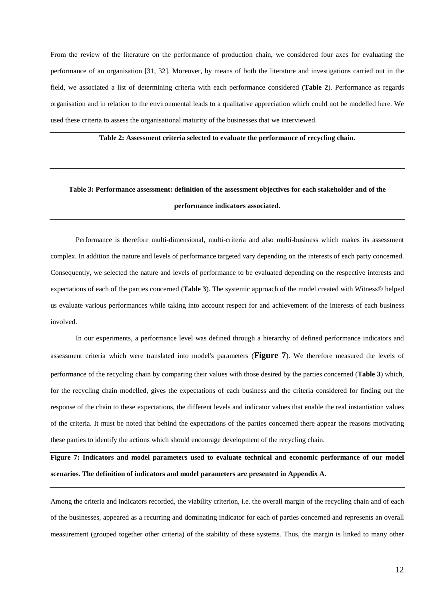From the review of the literature on the performance of production chain, we considered four axes for evaluating the performance of an organisation [31, 32]. Moreover, by means of both the literature and investigations carried out in the field, we associated a list of determining criteria with each performance considered (**Table 2**). Performance as regards organisation and in relation to the environmental leads to a qualitative appreciation which could not be modelled here. We used these criteria to assess the organisational maturity of the businesses that we interviewed.

**Table 2: Assessment criteria selected to evaluate the performance of recycling chain.** 

# **Table 3: Performance assessment: definition of the assessment objectives for each stakeholder and of the performance indicators associated.**

Performance is therefore multi-dimensional, multi-criteria and also multi-business which makes its assessment complex. In addition the nature and levels of performance targeted vary depending on the interests of each party concerned. Consequently, we selected the nature and levels of performance to be evaluated depending on the respective interests and expectations of each of the parties concerned (**Table 3**). The systemic approach of the model created with Witness® helped us evaluate various performances while taking into account respect for and achievement of the interests of each business involved.

 In our experiments, a performance level was defined through a hierarchy of defined performance indicators and assessment criteria which were translated into model's parameters (**Figure 7**). We therefore measured the levels of performance of the recycling chain by comparing their values with those desired by the parties concerned (**Table 3**) which, for the recycling chain modelled, gives the expectations of each business and the criteria considered for finding out the response of the chain to these expectations, the different levels and indicator values that enable the real instantiation values of the criteria. It must be noted that behind the expectations of the parties concerned there appear the reasons motivating these parties to identify the actions which should encourage development of the recycling chain.

**Figure 7: Indicators and model parameters used to evaluate technical and economic performance of our model scenarios. The definition of indicators and model parameters are presented in Appendix A.** 

Among the criteria and indicators recorded, the viability criterion, i.e. the overall margin of the recycling chain and of each of the businesses, appeared as a recurring and dominating indicator for each of parties concerned and represents an overall measurement (grouped together other criteria) of the stability of these systems. Thus, the margin is linked to many other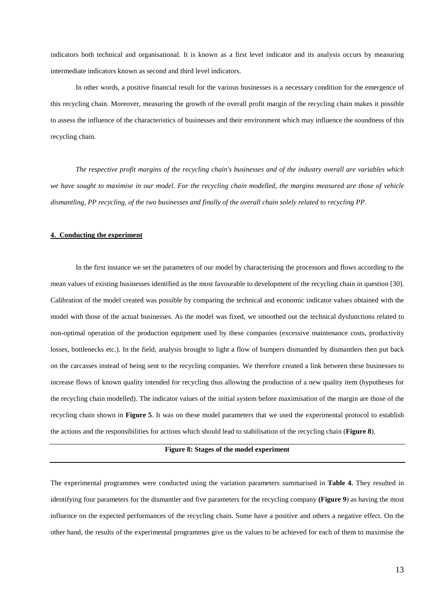indicators both technical and organisational. It is known as a first level indicator and its analysis occurs by measuring intermediate indicators known as second and third level indicators.

In other words, a positive financial result for the various businesses is a necessary condition for the emergence of this recycling chain. Moreover, measuring the growth of the overall profit margin of the recycling chain makes it possible to assess the influence of the characteristics of businesses and their environment which may influence the soundness of this recycling chain.

*The respective profit margins of the recycling chain's businesses and of the industry overall are variables which we have sought to maximise in our model. For the recycling chain modelled, the margins measured are those of vehicle dismantling, PP recycling, of the two businesses and finally of the overall chain solely related to recycling PP.* 

#### **4. Conducting the experiment**

In the first instance we set the parameters of our model by characterising the processors and flows according to the mean values of existing businesses identified as the most favourable to development of the recycling chain in question [30]. Calibration of the model created was possible by comparing the technical and economic indicator values obtained with the model with those of the actual businesses. As the model was fixed, we smoothed out the technical dysfunctions related to non-optimal operation of the production equipment used by these companies (excessive maintenance costs, productivity losses, bottlenecks etc.). In the field, analysis brought to light a flow of bumpers dismantled by dismantlers then put back on the carcasses instead of being sent to the recycling companies. We therefore created a link between these businesses to increase flows of known quality intended for recycling thus allowing the production of a new quality item (hypotheses for the recycling chain modelled). The indicator values of the initial system before maximisation of the margin are those of the recycling chain shown in **Figure 5**. It was on these model parameters that we used the experimental protocol to establish the actions and the responsibilities for actions which should lead to stabilisation of the recycling chain (**Figure 8**).

# **Figure 8: Stages of the model experiment**

The experimental programmes were conducted using the variation parameters summarised in **Table 4.** They resulted in identifying four parameters for the dismantler and five parameters for the recycling company **(Figure 9**) as having the most influence on the expected performances of the recycling chain. Some have a positive and others a negative effect. On the other hand, the results of the experimental programmes give us the values to be achieved for each of them to maximise the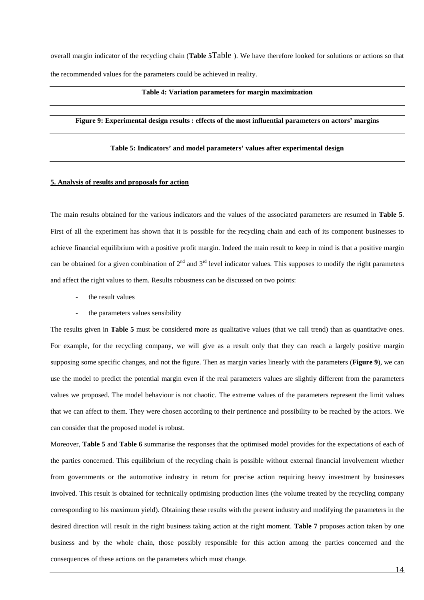overall margin indicator of the recycling chain (**Table 5**Table ). We have therefore looked for solutions or actions so that the recommended values for the parameters could be achieved in reality.

#### **Table 4: Variation parameters for margin maximization**

# **Figure 9: Experimental design results : effects of the most influential parameters on actors' margins**

#### **Table 5: Indicators' and model parameters' values after experimental design**

#### **5. Analysis of results and proposals for action**

The main results obtained for the various indicators and the values of the associated parameters are resumed in **Table 5**. First of all the experiment has shown that it is possible for the recycling chain and each of its component businesses to achieve financial equilibrium with a positive profit margin. Indeed the main result to keep in mind is that a positive margin can be obtained for a given combination of  $2^{nd}$  and  $3^{rd}$  level indicator values. This supposes to modify the right parameters and affect the right values to them. Results robustness can be discussed on two points:

- the result values
- the parameters values sensibility

The results given in **Table 5** must be considered more as qualitative values (that we call trend) than as quantitative ones. For example, for the recycling company, we will give as a result only that they can reach a largely positive margin supposing some specific changes, and not the figure. Then as margin varies linearly with the parameters (**Figure 9**), we can use the model to predict the potential margin even if the real parameters values are slightly different from the parameters values we proposed. The model behaviour is not chaotic. The extreme values of the parameters represent the limit values that we can affect to them. They were chosen according to their pertinence and possibility to be reached by the actors. We can consider that the proposed model is robust.

Moreover, **Table 5** and **Table 6** summarise the responses that the optimised model provides for the expectations of each of the parties concerned. This equilibrium of the recycling chain is possible without external financial involvement whether from governments or the automotive industry in return for precise action requiring heavy investment by businesses involved. This result is obtained for technically optimising production lines (the volume treated by the recycling company corresponding to his maximum yield). Obtaining these results with the present industry and modifying the parameters in the desired direction will result in the right business taking action at the right moment. **Table 7** proposes action taken by one business and by the whole chain, those possibly responsible for this action among the parties concerned and the consequences of these actions on the parameters which must change.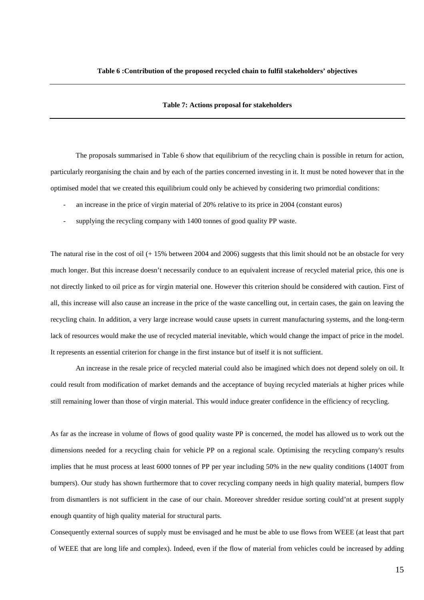#### **Table 7: Actions proposal for stakeholders**

The proposals summarised in Table 6 show that equilibrium of the recycling chain is possible in return for action, particularly reorganising the chain and by each of the parties concerned investing in it. It must be noted however that in the optimised model that we created this equilibrium could only be achieved by considering two primordial conditions:

- an increase in the price of virgin material of 20% relative to its price in 2004 (constant euros)
- supplying the recycling company with 1400 tonnes of good quality PP waste.

The natural rise in the cost of oil (+ 15% between 2004 and 2006) suggests that this limit should not be an obstacle for very much longer. But this increase doesn't necessarily conduce to an equivalent increase of recycled material price, this one is not directly linked to oil price as for virgin material one. However this criterion should be considered with caution. First of all, this increase will also cause an increase in the price of the waste cancelling out, in certain cases, the gain on leaving the recycling chain. In addition, a very large increase would cause upsets in current manufacturing systems, and the long-term lack of resources would make the use of recycled material inevitable, which would change the impact of price in the model. It represents an essential criterion for change in the first instance but of itself it is not sufficient.

 An increase in the resale price of recycled material could also be imagined which does not depend solely on oil. It could result from modification of market demands and the acceptance of buying recycled materials at higher prices while still remaining lower than those of virgin material. This would induce greater confidence in the efficiency of recycling.

As far as the increase in volume of flows of good quality waste PP is concerned, the model has allowed us to work out the dimensions needed for a recycling chain for vehicle PP on a regional scale. Optimising the recycling company's results implies that he must process at least 6000 tonnes of PP per year including 50% in the new quality conditions (1400T from bumpers). Our study has shown furthermore that to cover recycling company needs in high quality material, bumpers flow from dismantlers is not sufficient in the case of our chain. Moreover shredder residue sorting could'nt at present supply enough quantity of high quality material for structural parts.

Consequently external sources of supply must be envisaged and he must be able to use flows from WEEE (at least that part of WEEE that are long life and complex). Indeed, even if the flow of material from vehicles could be increased by adding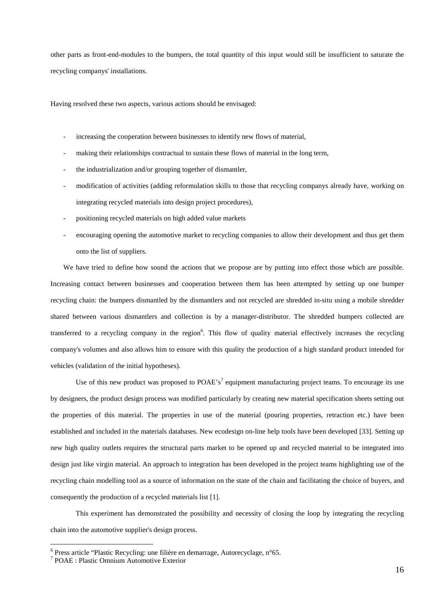other parts as front-end-modules to the bumpers, the total quantity of this input would still be insufficient to saturate the recycling companys' installations.

Having resolved these two aspects, various actions should be envisaged:

- increasing the cooperation between businesses to identify new flows of material,
- making their relationships contractual to sustain these flows of material in the long term,
- the industrialization and/or grouping together of dismantler,
- modification of activities (adding reformulation skills to those that recycling companys already have, working on integrating recycled materials into design project procedures),
- positioning recycled materials on high added value markets
- encouraging opening the automotive market to recycling companies to allow their development and thus get them onto the list of suppliers.

We have tried to define how sound the actions that we propose are by putting into effect those which are possible. Increasing contact between businesses and cooperation between them has been attempted by setting up one bumper recycling chain: the bumpers dismantled by the dismantlers and not recycled are shredded in-situ using a mobile shredder shared between various dismantlers and collection is by a manager-distributor. The shredded bumpers collected are transferred to a recycling company in the region<sup>6</sup>. This flow of quality material effectively increases the recycling company's volumes and also allows him to ensure with this quality the production of a high standard product intended for vehicles (validation of the initial hypotheses).

Use of this new product was proposed to POAE's<sup>7</sup> equipment manufacturing project teams. To encourage its use by designers, the product design process was modified particularly by creating new material specification sheets setting out the properties of this material. The properties in use of the material (pouring properties, retraction etc.) have been established and included in the materials databases. New ecodesign on-line help tools have been developed [33]. Setting up new high quality outlets requires the structural parts market to be opened up and recycled material to be integrated into design just like virgin material. An approach to integration has been developed in the project teams highlighting use of the recycling chain modelling tool as a source of information on the state of the chain and facilitating the choice of buyers, and consequently the production of a recycled materials list [1].

This experiment has demonstrated the possibility and necessity of closing the loop by integrating the recycling chain into the automotive supplier's design process.

 $\overline{a}$ 

<sup>&</sup>lt;sup>6</sup> Press article "Plastic Recycling: une filière en demarrage, Autorecyclage, n°65.

<sup>7</sup> POAE : Plastic Omnium Automotive Exterior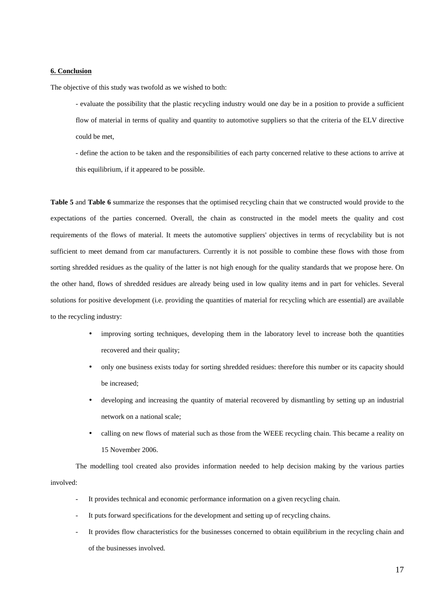# **6. Conclusion**

The objective of this study was twofold as we wished to both:

- evaluate the possibility that the plastic recycling industry would one day be in a position to provide a sufficient flow of material in terms of quality and quantity to automotive suppliers so that the criteria of the ELV directive could be met,

- define the action to be taken and the responsibilities of each party concerned relative to these actions to arrive at this equilibrium, if it appeared to be possible.

**Table 5** and **Table 6** summarize the responses that the optimised recycling chain that we constructed would provide to the expectations of the parties concerned. Overall, the chain as constructed in the model meets the quality and cost requirements of the flows of material. It meets the automotive suppliers' objectives in terms of recyclability but is not sufficient to meet demand from car manufacturers. Currently it is not possible to combine these flows with those from sorting shredded residues as the quality of the latter is not high enough for the quality standards that we propose here. On the other hand, flows of shredded residues are already being used in low quality items and in part for vehicles. Several solutions for positive development (i.e. providing the quantities of material for recycling which are essential) are available to the recycling industry:

- improving sorting techniques, developing them in the laboratory level to increase both the quantities recovered and their quality;
- only one business exists today for sorting shredded residues: therefore this number or its capacity should be increased;
- developing and increasing the quantity of material recovered by dismantling by setting up an industrial network on a national scale;
- calling on new flows of material such as those from the WEEE recycling chain. This became a reality on 15 November 2006.

The modelling tool created also provides information needed to help decision making by the various parties involved:

- It provides technical and economic performance information on a given recycling chain.
- It puts forward specifications for the development and setting up of recycling chains.
- It provides flow characteristics for the businesses concerned to obtain equilibrium in the recycling chain and of the businesses involved.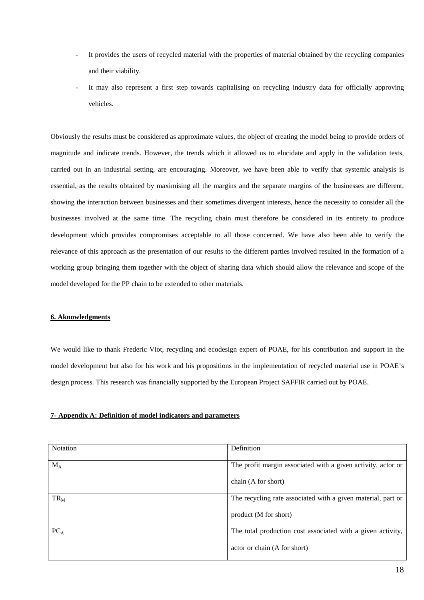- It provides the users of recycled material with the properties of material obtained by the recycling companies and their viability.
- It may also represent a first step towards capitalising on recycling industry data for officially approving vehicles.

Obviously the results must be considered as approximate values, the object of creating the model being to provide orders of magnitude and indicate trends. However, the trends which it allowed us to elucidate and apply in the validation tests, carried out in an industrial setting, are encouraging. Moreover, we have been able to verify that systemic analysis is essential, as the results obtained by maximising all the margins and the separate margins of the businesses are different, showing the interaction between businesses and their sometimes divergent interests, hence the necessity to consider all the businesses involved at the same time. The recycling chain must therefore be considered in its entirety to produce development which provides compromises acceptable to all those concerned. We have also been able to verify the relevance of this approach as the presentation of our results to the different parties involved resulted in the formation of a working group bringing them together with the object of sharing data which should allow the relevance and scope of the model developed for the PP chain to be extended to other materials.

# **6. Aknowledgments**

We would like to thank Frederic Viot, recycling and ecodesign expert of POAE, for his contribution and support in the model development but also for his work and his propositions in the implementation of recycled material use in POAE's design process. This research was financially supported by the European Project SAFFIR carried out by POAE.

# **7- Appendix A: Definition of model indicators and parameters**

| <b>Notation</b> | Definition                                                   |
|-----------------|--------------------------------------------------------------|
|                 |                                                              |
| $M_A$           | The profit margin associated with a given activity, actor or |
|                 |                                                              |
|                 | chain (A for short)                                          |
|                 |                                                              |
| $TR_M$          | The recycling rate associated with a given material, part or |
|                 |                                                              |
|                 | product (M for short)                                        |
|                 |                                                              |
| $PC_{A}$        | The total production cost associated with a given activity,  |
|                 |                                                              |
|                 | actor or chain (A for short)                                 |
|                 |                                                              |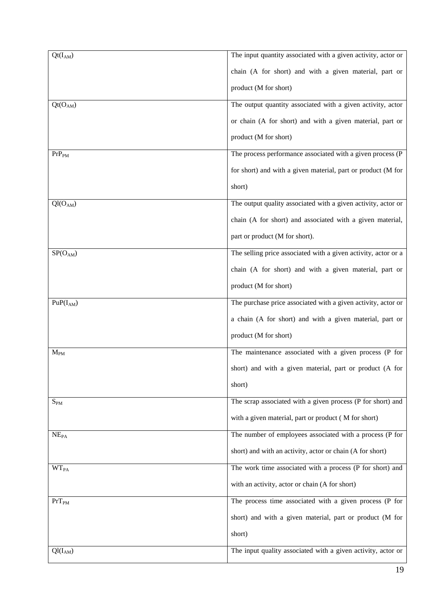| $Qt(I_{AM})$                       | The input quantity associated with a given activity, actor or  |
|------------------------------------|----------------------------------------------------------------|
|                                    | chain (A for short) and with a given material, part or         |
|                                    | product (M for short)                                          |
|                                    |                                                                |
| Qt(O <sub>AM</sub> )               | The output quantity associated with a given activity, actor    |
|                                    | or chain (A for short) and with a given material, part or      |
|                                    | product (M for short)                                          |
| $PrP_{PM}$                         | The process performance associated with a given process (P     |
|                                    | for short) and with a given material, part or product (M for   |
|                                    | short)                                                         |
| $\overline{Q}$ l(O <sub>AM</sub> ) | The output quality associated with a given activity, actor or  |
|                                    | chain (A for short) and associated with a given material,      |
|                                    | part or product (M for short).                                 |
|                                    |                                                                |
| $SP(O_{AM})$                       | The selling price associated with a given activity, actor or a |
|                                    | chain (A for short) and with a given material, part or         |
|                                    | product (M for short)                                          |
| $PuP(I_{AM})$                      | The purchase price associated with a given activity, actor or  |
|                                    | a chain (A for short) and with a given material, part or       |
|                                    | product (M for short)                                          |
| $M_{PM}$                           | The maintenance associated with a given process (P for         |
|                                    | short) and with a given material, part or product (A for       |
|                                    |                                                                |
|                                    | short)                                                         |
| $S_{PM}$                           | The scrap associated with a given process (P for short) and    |
|                                    | with a given material, part or product (M for short)           |
| NE <sub>PA</sub>                   | The number of employees associated with a process (P for       |
|                                    | short) and with an activity, actor or chain (A for short)      |
| <b>WT<sub>PA</sub></b>             | The work time associated with a process (P for short) and      |
|                                    | with an activity, actor or chain (A for short)                 |
| $PrT_{PM}$                         | The process time associated with a given process (P for        |
|                                    | short) and with a given material, part or product (M for       |
|                                    | short)                                                         |
| $Ql(I_{AM})$                       | The input quality associated with a given activity, actor or   |
|                                    |                                                                |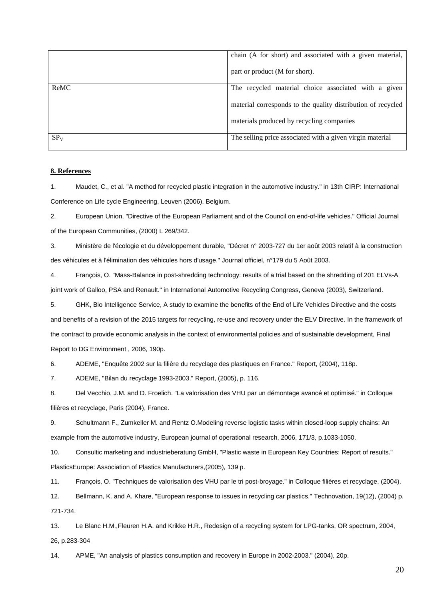|                 | chain (A for short) and associated with a given material,    |  |  |
|-----------------|--------------------------------------------------------------|--|--|
|                 | part or product (M for short).                               |  |  |
| ReMC            | The recycled material choice associated with a given         |  |  |
|                 | material corresponds to the quality distribution of recycled |  |  |
|                 | materials produced by recycling companies                    |  |  |
| SP <sub>V</sub> | The selling price associated with a given virgin material    |  |  |

# **8. References**

1. Maudet, C., et al. "A method for recycled plastic integration in the automotive industry." in 13th CIRP: International Conference on Life cycle Engineering, Leuven (2006), Belgium.

2. European Union, "Directive of the European Parliament and of the Council on end-of-life vehicles." Official Journal of the European Communities, (2000) L 269/342.

3. Ministère de l'écologie et du développement durable, "Décret n° 2003-727 du 1er août 2003 relatif à la construction des véhicules et à l'élimination des véhicules hors d'usage." Journal officiel, n°179 du 5 Août 2003.

4. François, O. "Mass-Balance in post-shredding technology: results of a trial based on the shredding of 201 ELVs-A joint work of Galloo, PSA and Renault." in International Automotive Recycling Congress, Geneva (2003), Switzerland.

5. GHK, Bio Intelligence Service, A study to examine the benefits of the End of Life Vehicles Directive and the costs and benefits of a revision of the 2015 targets for recycling, re-use and recovery under the ELV Directive. In the framework of the contract to provide economic analysis in the context of environmental policies and of sustainable development, Final Report to DG Environment , 2006, 190p.

6. ADEME, "Enquête 2002 sur la filière du recyclage des plastiques en France." Report, (2004), 118p.

7. ADEME, "Bilan du recyclage 1993-2003." Report, (2005), p. 116.

8. Del Vecchio, J.M. and D. Froelich. "La valorisation des VHU par un démontage avancé et optimisé." in Colloque filières et recyclage, Paris (2004), France.

9. Schultmann F., Zumkeller M. and Rentz O.Modeling reverse logistic tasks within closed-loop supply chains: An example from the automotive industry, European journal of operational research, 2006, 171/3, p.1033-1050.

10. Consultic marketing and industrieberatung GmbH, "Plastic waste in European Key Countries: Report of results." PlasticsEurope: Association of Plastics Manufacturers,(2005), 139 p.

11. François, O. "Techniques de valorisation des VHU par le tri post-broyage." in Colloque filières et recyclage, (2004).

12. Bellmann, K. and A. Khare, "European response to issues in recycling car plastics." Technovation, 19(12), (2004) p. 721-734.

13. Le Blanc H.M.,Fleuren H.A. and Krikke H.R., Redesign of a recycling system for LPG-tanks, OR spectrum, 2004, 26, p.283-304

14. APME, "An analysis of plastics consumption and recovery in Europe in 2002-2003." (2004), 20p.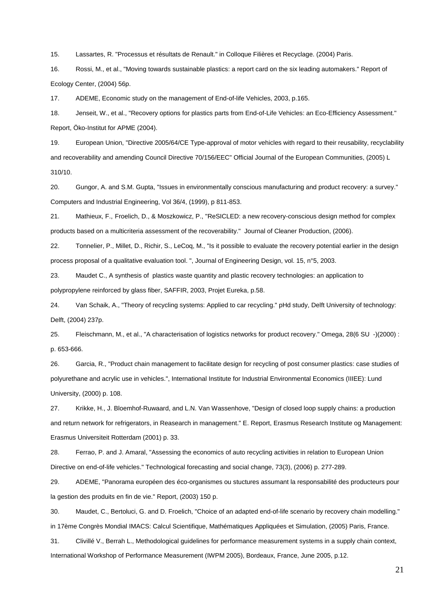15. Lassartes, R. "Processus et résultats de Renault." in Colloque Filières et Recyclage. (2004) Paris.

16. Rossi, M., et al., "Moving towards sustainable plastics: a report card on the six leading automakers." Report of Ecology Center, (2004) 56p.

17. ADEME, Economic study on the management of End-of-life Vehicles, 2003, p.165.

18. Jenseit, W., et al., "Recovery options for plastics parts from End-of-Life Vehicles: an Eco-Efficiency Assessment." Report, Öko-Institut for APME (2004).

19. European Union, "Directive 2005/64/CE Type-approval of motor vehicles with regard to their reusability, recyclability and recoverability and amending Council Directive 70/156/EEC" Official Journal of the European Communities, (2005) L 310/10.

20. Gungor, A. and S.M. Gupta, "Issues in environmentally conscious manufacturing and product recovery: a survey." Computers and Industrial Engineering, Vol 36/4, (1999), p 811-853.

21. Mathieux, F., Froelich, D., & Moszkowicz, P., "ReSICLED: a new recovery-conscious design method for complex products based on a multicriteria assessment of the recoverability." Journal of Cleaner Production, (2006).

22. Tonnelier, P., Millet, D., Richir, S., LeCoq, M., "Is it possible to evaluate the recovery potential earlier in the design process proposal of a qualitative evaluation tool. ", Journal of Engineering Design, vol. 15, n°5, 2003.

23. Maudet C., A synthesis of plastics waste quantity and plastic recovery technologies: an application to polypropylene reinforced by glass fiber, SAFFIR, 2003, Projet Eureka, p.58.

24. Van Schaik, A., "Theory of recycling systems: Applied to car recycling." pHd study, Delft University of technology: Delft, (2004) 237p.

25. Fleischmann, M., et al., "A characterisation of logistics networks for product recovery." Omega, 28(6 SU -)(2000) : p. 653-666.

26. Garcia, R., "Product chain management to facilitate design for recycling of post consumer plastics: case studies of polyurethane and acrylic use in vehicles.", International Institute for Industrial Environmental Economics (IIIEE): Lund University, (2000) p. 108.

27. Krikke, H., J. Bloemhof-Ruwaard, and L.N. Van Wassenhove, "Design of closed loop supply chains: a production and return network for refrigerators, in Reasearch in management." E. Report, Erasmus Research Institute og Management: Erasmus Universiteit Rotterdam (2001) p. 33.

28. Ferrao, P. and J. Amaral, "Assessing the economics of auto recycling activities in relation to European Union Directive on end-of-life vehicles." Technological forecasting and social change, 73(3), (2006) p. 277-289.

29. ADEME, "Panorama européen des éco-organismes ou stuctures assumant la responsabilité des producteurs pour la gestion des produits en fin de vie." Report, (2003) 150 p.

30. Maudet, C., Bertoluci, G. and D. Froelich, "Choice of an adapted end-of-life scenario by recovery chain modelling." in 17ème Congrès Mondial IMACS: Calcul Scientifique, Mathématiques Appliquées et Simulation, (2005) Paris, France.

31. Clivillé V., Berrah L., Methodological guidelines for performance measurement systems in a supply chain context, International Workshop of Performance Measurement (IWPM 2005), Bordeaux, France, June 2005, p.12.

21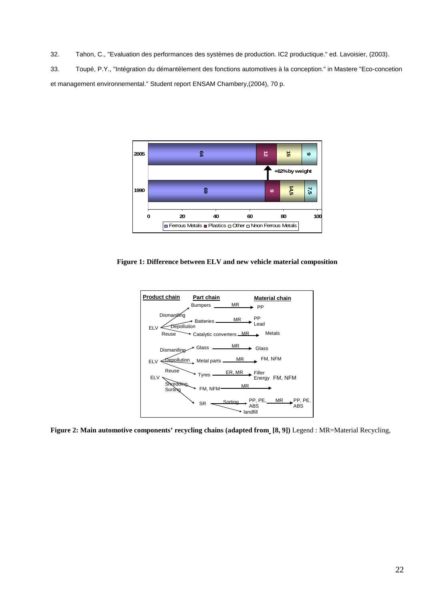32. Tahon, C., "Evaluation des performances des systèmes de production. IC2 productique." ed. Lavoisier, (2003).

33. Toupé, P.Y., "Intégration du démantèlement des fonctions automotives à la conception." in Mastere "Eco-concetion et management environnemental." Student report ENSAM Chambery,(2004), 70 p.



**Figure 1: Difference between ELV and new vehicle material composition** 



**Figure 2: Main automotive components' recycling chains (adapted from [8, 9])** Legend : MR=Material Recycling,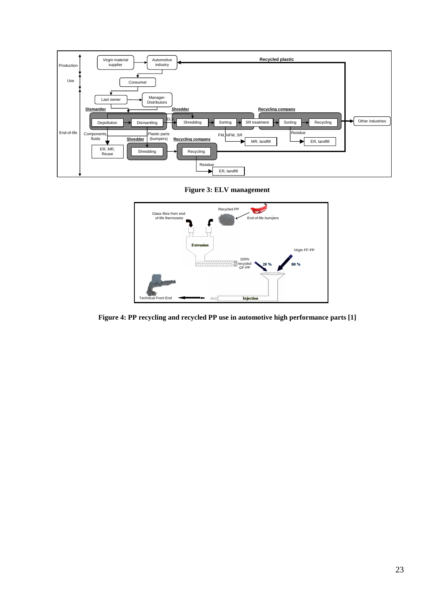

**Figure 3: ELV management** 



**Figure 4: PP recycling and recycled PP use in automotive high performance parts [1]**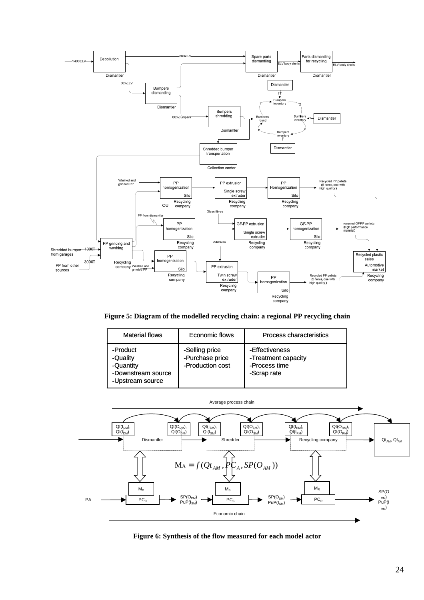

**Figure 5: Diagram of the modelled recycling chain: a regional PP recycling chain** 

| <b>Material flows</b>                                                       | Economic flows                                        | Process characteristics                                               |
|-----------------------------------------------------------------------------|-------------------------------------------------------|-----------------------------------------------------------------------|
| -Product<br>-Quality<br>-Quantity<br>-Downstream source<br>-Upstream source | -Selling price<br>-Purchase price<br>-Production cost | -Effectiveness<br>-Treatment capacity<br>-Process time<br>-Scrap rate |



**Figure 6: Synthesis of the flow measured for each model actor**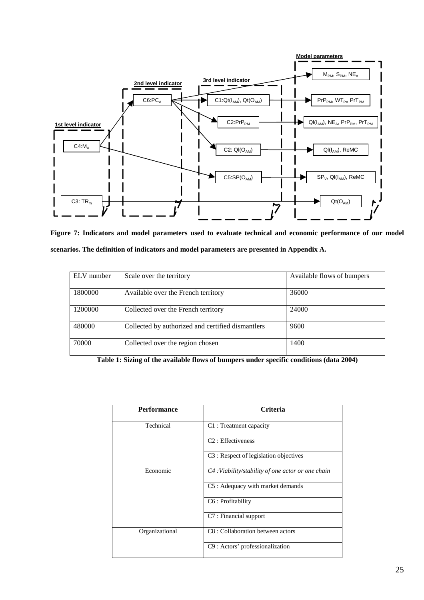

**Figure 7: Indicators and model parameters used to evaluate technical and economic performance of our model scenarios. The definition of indicators and model parameters are presented in Appendix A.** 

| ELV number | Scale over the territory                          | Available flows of bumpers |
|------------|---------------------------------------------------|----------------------------|
|            |                                                   |                            |
| 1800000    | Available over the French territory               | 36000                      |
|            |                                                   |                            |
| 1200000    | Collected over the French territory               | 24000                      |
|            |                                                   |                            |
| 480000     | Collected by authorized and certified dismantlers | 9600                       |
|            |                                                   |                            |
| 70000      | Collected over the region chosen                  | 1400                       |
|            |                                                   |                            |

**Table 1: Sizing of the available flows of bumpers under specific conditions (data 2004)** 

| <b>Performance</b> | <b>Criteria</b>                                   |
|--------------------|---------------------------------------------------|
| Technical          | C1: Treatment capacity                            |
|                    | C <sub>2</sub> : Effectiveness                    |
|                    | C3 : Respect of legislation objectives            |
| Economic           | C4: Viability/stability of one actor or one chain |
|                    | C5: Adequacy with market demands                  |
|                    | C6 : Profitability                                |
|                    | C7: Financial support                             |
| Organizational     | C8 : Collaboration between actors                 |
|                    | C9 : Actors' professionalization                  |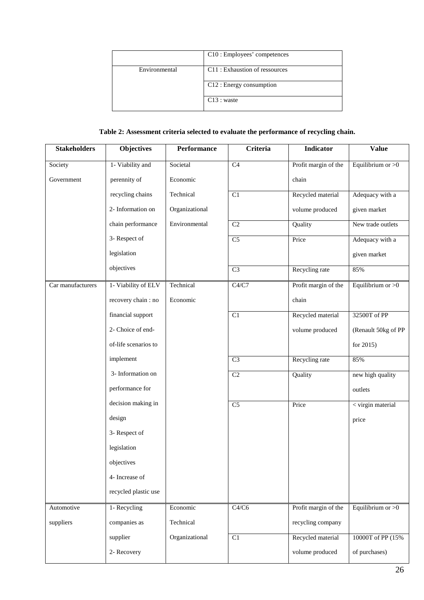|               | C10 : Employees' competences   |
|---------------|--------------------------------|
| Environmental | C11 : Exhaustion of ressources |
|               | $C12:$ Energy consumption      |
|               | $C13:$ waste                   |

# **Table 2: Assessment criteria selected to evaluate the performance of recycling chain.**

| <b>Stakeholders</b> | <b>Objectives</b>    | Performance    | Criteria        | <b>Indicator</b>     | <b>Value</b>        |
|---------------------|----------------------|----------------|-----------------|----------------------|---------------------|
| Society             | 1- Viability and     | Societal       | C <sub>4</sub>  | Profit margin of the | Equilibrium or $>0$ |
| Government          | perennity of         | Economic       |                 | chain                |                     |
|                     | recycling chains     | Technical      | C1              | Recycled material    | Adequacy with a     |
|                     | 2- Information on    | Organizational |                 | volume produced      | given market        |
|                     | chain performance    | Environmental  | C2              | Quality              | New trade outlets   |
|                     | 3- Respect of        |                | $\overline{C5}$ | Price                | Adequacy with a     |
|                     | legislation          |                |                 |                      | given market        |
|                     | objectives           |                | $\overline{C3}$ | Recycling rate       | 85%                 |
| Car manufacturers   | 1- Viability of ELV  | Technical      | C4/C7           | Profit margin of the | Equilibrium or $>0$ |
|                     | recovery chain: no   | Economic       |                 | chain                |                     |
|                     | financial support    |                | C1              | Recycled material    | 32500T of PP        |
|                     | 2- Choice of end-    |                |                 | volume produced      | (Renault 50kg of PP |
|                     | of-life scenarios to |                |                 |                      | for $2015$ )        |
|                     | implement            |                | $\overline{C3}$ | Recycling rate       | 85%                 |
|                     | 3- Information on    |                | C <sub>2</sub>  | Quality              | new high quality    |
|                     | performance for      |                |                 |                      | outlets             |
|                     | decision making in   |                | C <sub>5</sub>  | Price                | < virgin material   |
|                     | design               |                |                 |                      | price               |
|                     | 3- Respect of        |                |                 |                      |                     |
|                     | legislation          |                |                 |                      |                     |
|                     | objectives           |                |                 |                      |                     |
|                     | 4- Increase of       |                |                 |                      |                     |
|                     | recycled plastic use |                |                 |                      |                     |
| Automotive          | 1- Recycling         | Economic       | C4/C6           | Profit margin of the | Equilibrium or $>0$ |
| suppliers           | companies as         | Technical      |                 | recycling company    |                     |
|                     | supplier             | Organizational | $\overline{C1}$ | Recycled material    | 10000T of PP (15%)  |
|                     | 2- Recovery          |                |                 | volume produced      | of purchases)       |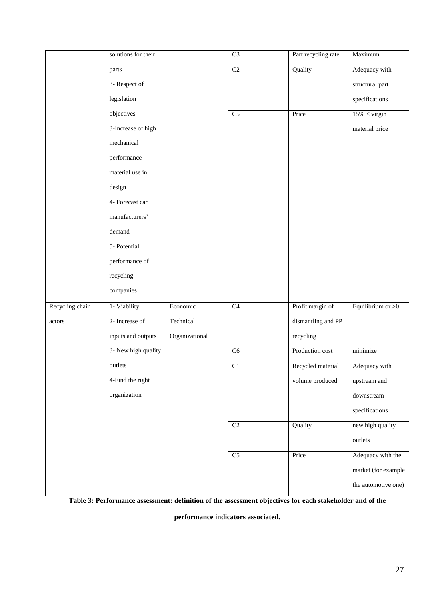|                 | solutions for their |                | $\overline{C3}$ | Part recycling rate | Maximum             |
|-----------------|---------------------|----------------|-----------------|---------------------|---------------------|
|                 | parts               |                | C2              | Quality             | Adequacy with       |
|                 | 3- Respect of       |                |                 |                     | structural part     |
|                 | legislation         |                |                 |                     | specifications      |
|                 | objectives          |                | $\overline{C5}$ | Price               | $15\% <$ virgin     |
|                 | 3-Increase of high  |                |                 |                     | material price      |
|                 | mechanical          |                |                 |                     |                     |
|                 | performance         |                |                 |                     |                     |
|                 | material use in     |                |                 |                     |                     |
|                 | design              |                |                 |                     |                     |
|                 | 4- Forecast car     |                |                 |                     |                     |
|                 | manufacturers'      |                |                 |                     |                     |
|                 | demand              |                |                 |                     |                     |
|                 | 5- Potential        |                |                 |                     |                     |
|                 | performance of      |                |                 |                     |                     |
|                 | recycling           |                |                 |                     |                     |
|                 | companies           |                |                 |                     |                     |
| Recycling chain | 1- Viability        | Economic       | C4              | Profit margin of    | Equilibrium or $>0$ |
| actors          | 2- Increase of      | Technical      |                 | dismantling and PP  |                     |
|                 | inputs and outputs  | Organizational |                 | recycling           |                     |
|                 | 3- New high quality |                | $\overline{C6}$ | Production cost     | minimize            |
|                 | outlets             |                | C <sub>1</sub>  | Recycled material   | Adequacy with       |
|                 | 4-Find the right    |                |                 | volume produced     | upstream and        |
|                 | organization        |                |                 |                     | downstream          |
|                 |                     |                |                 |                     | specifications      |
|                 |                     |                | C <sub>2</sub>  | Quality             | new high quality    |
|                 |                     |                |                 |                     | outlets             |
|                 |                     |                | $\overline{C5}$ | Price               | Adequacy with the   |
|                 |                     |                |                 |                     | market (for example |
|                 |                     |                |                 |                     | the automotive one) |

**Table 3: Performance assessment: definition of the assessment objectives for each stakeholder and of the** 

**performance indicators associated.**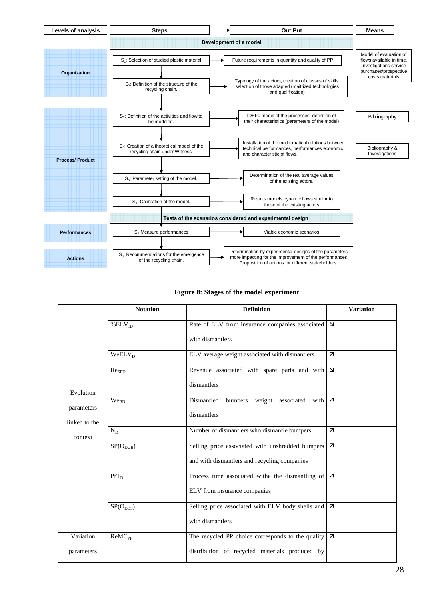

# **Figure 8: Stages of the model experiment**

|                             | <b>Notation</b>          | <b>Definition</b>                                                                                   | <b>Variation</b>         |
|-----------------------------|--------------------------|-----------------------------------------------------------------------------------------------------|--------------------------|
|                             | % $ELV_D$                | Rate of ELV from insurance companies associated<br>with dismantlers                                 | $\Delta$                 |
|                             | $WeELV_D$                | ELV average weight associated with dismantlers                                                      | $\overline{\mathbf{z}}$  |
| Evolution                   | Re <sub>SPD</sub>        | Revenue associated with spare parts and with $\vert \Delta \vert$<br>dismantlers                    |                          |
| parameters<br>linked to the | We <sub>BD</sub>         | Dismantled bumpers weight associated with 7<br>dismantlers                                          |                          |
| context                     | $N_D$                    | Number of dismantlers who dismantle bumpers                                                         | $\overline{\mathcal{A}}$ |
|                             | $SP(O_{DUB})$            | Selling price associated with unshredded bumpers<br>and with dismantlers and recycling companies    | $\overline{\mathcal{A}}$ |
|                             | $PrT_D$                  | Process time associated withe the dismantling of<br>ELV from insurance companies                    | Iя                       |
|                             | $SP(O_{DBS})$            | Selling price associated with ELV body shells and<br>with dismantlers                               | $\overline{\mathcal{A}}$ |
| Variation<br>parameters     | <b>ReMC<sub>PP</sub></b> | The recycled PP choice corresponds to the quality<br>distribution of recycled materials produced by | $\overline{\mathbf{z}}$  |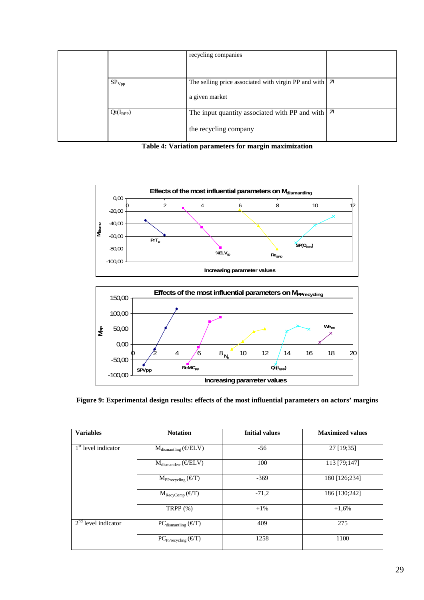|                   | recycling companies                                                                 |  |
|-------------------|-------------------------------------------------------------------------------------|--|
| SP <sub>Vpp</sub> | The selling price associated with virgin PP and with $ 7 \rangle$<br>a given market |  |
| $Qt(I_{RPP})$     | The input quantity associated with PP and with $  \nabla$<br>the recycling company  |  |

**Table 4: Variation parameters for margin maximization** 



# **Figure 9: Experimental design results: effects of the most influential parameters on actors' margins**

| <b>Variables</b>                | <b>Notation</b>                                   | <b>Initial values</b> | <b>Maximized values</b> |
|---------------------------------|---------------------------------------------------|-----------------------|-------------------------|
| 1 <sup>st</sup> level indicator | $M_{\text{dismanthing}}(\boldsymbol{\in} / ELV)$  | $-56$                 | 27 [19:35]              |
|                                 | $M_{dismantlerr}(\boldsymbol{\epsilon}/ELV)$      | 100                   | 113 [79;147]            |
|                                 | $M_{\text{Precycling}} (\boldsymbol{\epsilon}/T)$ | $-369$                | 180 [126;234]           |
|                                 | $M_{\text{RecyComp}}(\mathcal{E}/T)$              | $-71,2$               | 186 [130;242]           |
|                                 | TRPP $(\%)$                                       | $+1\%$                | $+1,6%$                 |
| $2nd$ level indicator           | $PC_{dismanting} (\epsilon/T)$                    | 409                   | 275                     |
|                                 | $PC_{PPrecycling} (\epsilon/T)$                   | 1258                  | 1100                    |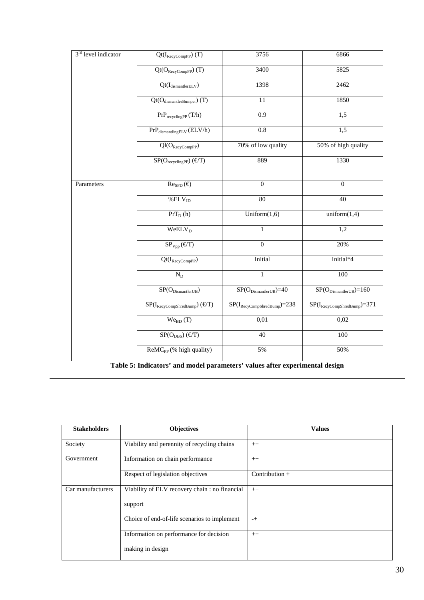| 3 <sup>rd</sup> level indicator | $Qt(I_{\text{RecyCompPP}})$ (T)                                                | 3756                                                      | 6866                                   |
|---------------------------------|--------------------------------------------------------------------------------|-----------------------------------------------------------|----------------------------------------|
|                                 | $Qt(O_{RecyCompPP})$ (T)                                                       | 3400                                                      | 5825                                   |
|                                 | $Qt(I_{dismantlerELV})$                                                        | 1398                                                      | 2462                                   |
|                                 | Qt(O <sub>dismantlerBumper</sub> ) (T)                                         | 11                                                        | 1850                                   |
|                                 | $PrP_{recyclingPP}(T/h)$                                                       | $\overline{0.9}$                                          | 1,5                                    |
|                                 | $\mathrm{PrP}_{\mathrm{dismanthingELV}}\left(\mathrm{ELV}/\mathrm{h}\right)$   | $\rm 0.8$                                                 | 1,5                                    |
|                                 | $Q1(O_{\text{RecyCompPP}})$                                                    | 70% of low quality                                        | 50% of high quality                    |
|                                 | $SP(O_{recyclingPP}) (\boldsymbol{\epsilon}/T)$                                | 889                                                       | 1330                                   |
| Parameters                      | $\text{Re}_{\text{SPD}}(\boldsymbol{\epsilon})$                                | $\boldsymbol{0}$                                          | $\boldsymbol{0}$                       |
|                                 | % ELV <sub>ID</sub>                                                            | $\overline{80}$                                           | $\overline{40}$                        |
|                                 | $PrT_D(h)$                                                                     | Uniform $(1,6)$                                           | uniform(1,4)                           |
|                                 | <b>WeELV</b> <sub>D</sub>                                                      | 1                                                         | 1,2                                    |
|                                 | $\overline{\text{SP}_{\text{Vpp}}(\text{\ensuremath{\mathfrak{C}}}/\text{T})}$ | $\overline{0}$                                            | 20%                                    |
|                                 | $Qt(I_{RecyCompPP})$                                                           | Initial                                                   | Initial*4                              |
|                                 | $N_D$                                                                          | $\mathbf{1}$                                              | 100                                    |
|                                 | $\overline{\text{SP}(O_{\text{DismantlerUB}})}$                                | $\overline{\text{SP}(\text{O}_\text{DismantlerUB}})}$ =40 | $SP(O_{DismantlerUB}) = 160$           |
|                                 | $SP(I_{\text{RecyCompShredBump}})$ ( $\epsilon/T$ )                            | $SP(I_{\text{RecyCompShredBump}})=238$                    | $SP(I_{\text{RecyCompShredBump}})=371$ |
|                                 | We <sub>BD</sub> (T)                                                           | 0,01                                                      | 0,02                                   |
|                                 | $SP(O_{DBS}) (\epsilon/T)$                                                     | 40                                                        | 100                                    |
|                                 | ReMC <sub>PP</sub> (% high quality)                                            | 5%                                                        | 50%                                    |

**Table 5: Indicators' and model parameters' values after experimental design** 

| <b>Stakeholders</b> | Objectives                                    | <b>Values</b>    |
|---------------------|-----------------------------------------------|------------------|
| Society             | Viability and perennity of recycling chains   | $++$             |
| Government          | Information on chain performance              | $++$             |
|                     | Respect of legislation objectives             | Contribution $+$ |
| Car manufacturers   | Viability of ELV recovery chain: no financial | $++$             |
|                     | support                                       |                  |
|                     | Choice of end-of-life scenarios to implement  | $-+$             |
|                     | Information on performance for decision       | $++$             |
|                     | making in design                              |                  |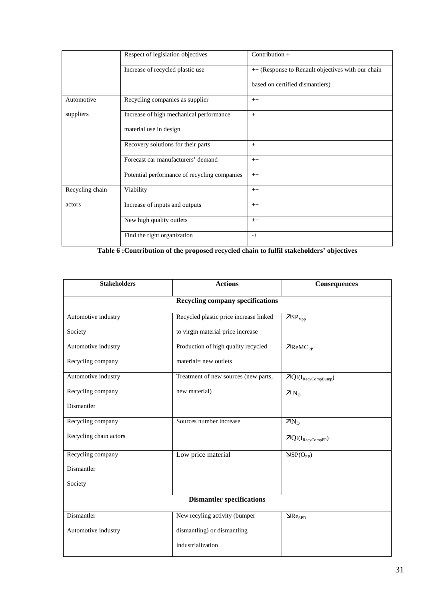|                 | Respect of legislation objectives            | Contribution $+$                                  |
|-----------------|----------------------------------------------|---------------------------------------------------|
|                 | Increase of recycled plastic use             | ++ (Response to Renault objectives with our chain |
|                 |                                              | based on certified dismantlers)                   |
| Automotive      | Recycling companies as supplier              | $++$                                              |
| suppliers       | Increase of high mechanical performance      | $+$                                               |
|                 | material use in design                       |                                                   |
|                 | Recovery solutions for their parts           | $+$                                               |
|                 | Forecast car manufacturers' demand           | $++$                                              |
|                 | Potential performance of recycling companies | $++$                                              |
| Recycling chain | Viability                                    | $++$                                              |
| actors          | Increase of inputs and outputs               | $++$                                              |
|                 | New high quality outlets                     | $++$                                              |
|                 | Find the right organization                  | $-+$                                              |

**Table 6 :Contribution of the proposed recycled chain to fulfil stakeholders' objectives** 

| <b>Stakeholders</b>                     | <b>Actions</b>                         | Consequences                                    |  |  |
|-----------------------------------------|----------------------------------------|-------------------------------------------------|--|--|
| <b>Recycling company specifications</b> |                                        |                                                 |  |  |
| Automotive industry                     | Recycled plastic price increase linked | 7SP <sub>Vpp</sub>                              |  |  |
| Society                                 | to virgin material price increase      |                                                 |  |  |
| Automotive industry                     | Production of high quality recycled    | $\n  7ReMCPP\n$                                 |  |  |
| Recycling company                       | material= new outlets                  |                                                 |  |  |
| Automotive industry                     | Treatment of new sources (new parts,   | $\boldsymbol{\pi} Q t(I_{\text{RecyCompBump}})$ |  |  |
| Recycling company                       | new material)                          | $7N_D$                                          |  |  |
| Dismantler                              |                                        |                                                 |  |  |
| Recycling company                       | Sources number increase                | $7N_D$                                          |  |  |
| Recycling chain actors                  |                                        | $\pi Qt(I_{\text{RecyCompPP}})$                 |  |  |
| Recycling company                       | Low price material                     | $\Delta SP(O_{PP})$                             |  |  |
| Dismantler                              |                                        |                                                 |  |  |
| Society                                 |                                        |                                                 |  |  |
| <b>Dismantler specifications</b>        |                                        |                                                 |  |  |
| Dismantler                              | New recyling activity (bumper          | $\mathbf{\Delta}$ Re <sub>SPD</sub>             |  |  |
| Automotive industry                     | dismantling) or dismantling            |                                                 |  |  |
|                                         | industrialization                      |                                                 |  |  |